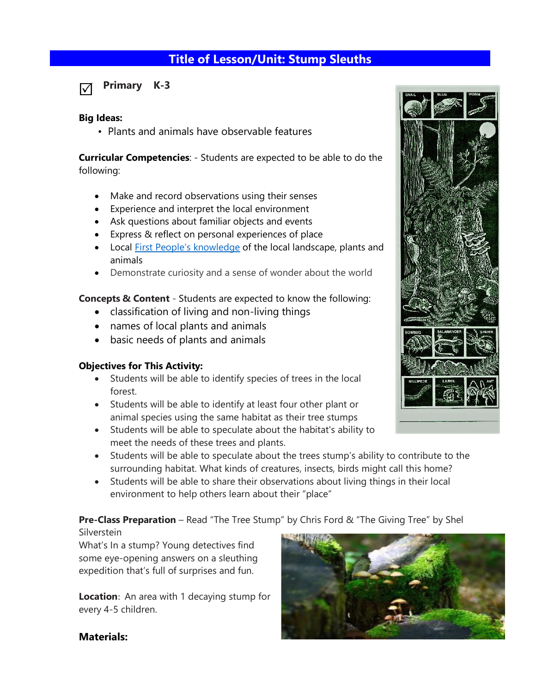# **Title of Lesson/Unit: Stump Sleuths**

**Primary K-3**  ☑

#### **Big Ideas:**

• Plants and animals have observable features

**Curricular Competencies**: - Students are expected to be able to do the following:

- Make and record observations using their senses
- Experience and interpret the local environment
- Ask questions about familiar objects and events
- Express & reflect on personal experiences of place
- Local [First People's knowledge](https://curriculum.gov.bc.ca/sites/curriculum.gov.bc.ca/files/curriculum/indigenous-knowledge-and-perspectives/science-K-12-indigenous-knowledge-and-perspectives.docx) of the local landscape, plants and animals
- Demonstrate curiosity and a sense of wonder about the world

**Concepts & Content** - Students are expected to know the following:

- [classification](https://curriculum.gov.bc.ca/curriculum/science/1/core) of living and non-living things
- [names](https://curriculum.gov.bc.ca/curriculum/science/1/core) of local plants and animals
- basic needs of plants and animals

#### **Objectives for This Activity:**

- Students will be able to identify species of trees in the local forest.
- Students will be able to identify at least four other plant or animal species using the same habitat as their tree stumps
- Students will be able to speculate about the habitat's ability to meet the needs of these trees and plants.
- Students will be able to speculate about the trees stump's ability to contribute to the surrounding habitat. What kinds of creatures, insects, birds might call this home?
- Students will be able to share their observations about living things in their local environment to help others learn about their "place"

**Pre-Class Preparation** – Read "The Tree Stump" by Chris Ford & "The Giving Tree" by Shel

**Silverstein** 

What's In a stump? Young detectives find some eye-opening answers on a sleuthing expedition that's full of surprises and fun.

**Location**: An area with 1 decaying stump for every 4-5 children.





#### **Materials:**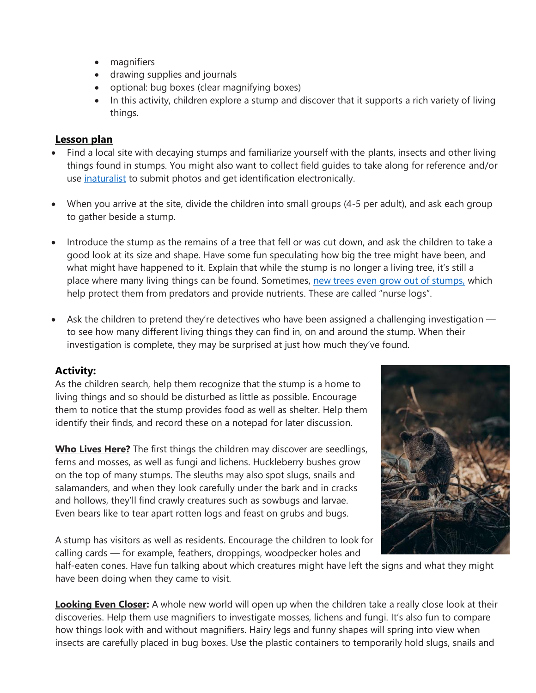- magnifiers
- drawing supplies and journals
- optional: bug boxes (clear magnifying boxes)
- In this activity, children explore a stump and discover that it supports a rich variety of living things.

### **Lesson plan**

- Find a local site with decaying stumps and familiarize yourself with the plants, insects and other living things found in stumps. You might also want to collect field guides to take along for reference and/or use [inaturalist](https://www.inaturalist.org/) to submit photos and get identification electronically.
- When you arrive at the site, divide the children into small groups (4-5 per adult), and ask each group to gather beside a stump.
- Introduce the stump as the remains of a tree that fell or was cut down, and ask the children to take a good look at its size and shape. Have some fun speculating how big the tree might have been, and what might have happened to it. Explain that while the stump is no longer a living tree, it's still a place where many living things can be found. Sometimes, [new trees even grow out of stumps,](https://en.wikipedia.org/wiki/Nurse_log) which help protect them from predators and provide nutrients. These are called "nurse logs".
- Ask the children to pretend they're detectives who have been assigned a challenging investigation to see how many different living things they can find in, on and around the stump. When their investigation is complete, they may be surprised at just how much they've found.

## **Activity:**

As the children search, help them recognize that the stump is a home to living things and so should be disturbed as little as possible. Encourage them to notice that the stump provides food as well as shelter. Help them identify their finds, and record these on a notepad for later discussion.

**Who Lives Here?** The first things the children may discover are seedlings, ferns and mosses, as well as fungi and lichens. Huckleberry bushes grow on the top of many stumps. The sleuths may also spot slugs, snails and salamanders, and when they look carefully under the bark and in cracks and hollows, they'll find crawly creatures such as sowbugs and larvae. Even bears like to tear apart rotten logs and feast on grubs and bugs.



A stump has visitors as well as residents. Encourage the children to look for calling cards — for example, feathers, droppings, woodpecker holes and

half-eaten cones. Have fun talking about which creatures might have left the signs and what they might have been doing when they came to visit.

**Looking Even Closer:** A whole new world will open up when the children take a really close look at their discoveries. Help them use magnifiers to investigate mosses, lichens and fungi. It's also fun to compare how things look with and without magnifiers. Hairy legs and funny shapes will spring into view when insects are carefully placed in bug boxes. Use the plastic containers to temporarily hold slugs, snails and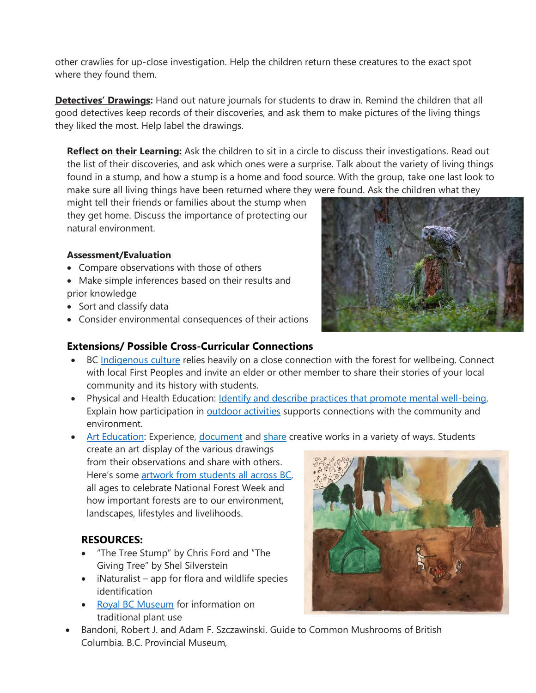other crawlies for up-close investigation. Help the children return these creatures to the exact spot where they found them.

**Detectives' Drawings:** Hand out nature journals for students to draw in. Remind the children that all good detectives keep records of their discoveries, and ask them to make pictures of the living things they liked the most. Help label the drawings.

**Reflect on their Learning:** Ask the children to sit in a circle to discuss their investigations. Read out the list of their discoveries, and ask which ones were a surprise. Talk about the variety of living things found in a stump, and how a stump is a home and food source. With the group, take one last look to make sure all living things have been returned where they were found. Ask the children what they

might tell their friends or families about the stump when they get home. Discuss the importance of protecting our natural environment.

#### **Assessment/Evaluation**

- Compare observations with those of others
- Make simple inferences based on their results and prior knowledge
- Sort and classify data
- Consider environmental consequences of their actions

### **Extensions/ Possible Cross-Curricular Connections**

- BC [Indigenous culture](https://www.google.com/url?sa=t&rct=j&q=&esrc=s&source=web&cd=&ved=2ahUKEwiFxYOkzb_vAhXxoFsKHYqoAEgQFjAJegQIBBAD&url=https%3A%2F%2Fwww.nccih.ca%2Fdocs%2Fhealth%2FBK-FNHA-BC-Growing-Up-Healthy-2019-EN.pdf&usg=AOvVaw3KhOLvhMIcNhJLpfwvOW7T) relies heavily on a close connection with the forest for wellbeing. Connect with local First Peoples and invite an elder or other member to share their stories of your local community and its history with students.
- Physical and Health Education: *Identify and describe practices that promote mental well-being.* Explain how participation in **outdoor activities** supports connections with the community and environment.
- [Art Education:](https://curriculum.gov.bc.ca/curriculum/arts-education/1/core#;) Experience, [document](https://curriculum.gov.bc.ca/curriculum/arts-education/1/core#;) and [share](https://curriculum.gov.bc.ca/curriculum/arts-education/1/core#;) creative works in a variety of ways. Students

create an art display of the various drawings from their observations and share with others. Here's some [artwork from students all across BC,](http://www.landscapesmag.com/common/main.cfm?ind=1&sin=1&ssi=0&sss=1) all ages to celebrate National Forest Week and how important forests are to our environment, landscapes, lifestyles and livelihoods.

## **RESOURCES:**

- "The Tree Stump" by Chris Ford and "The Giving Tree" by Shel Silverstein
- iNaturalist app for flora and wildlife species identification
- [Royal BC Museum](https://learning.royalbcmuseum.bc.ca/pathways/native-plants-south-coast/) for information on traditional plant use



• Bandoni, Robert J. and Adam F. Szczawinski. Guide to Common Mushrooms of British Columbia. B.C. Provincial Museum,